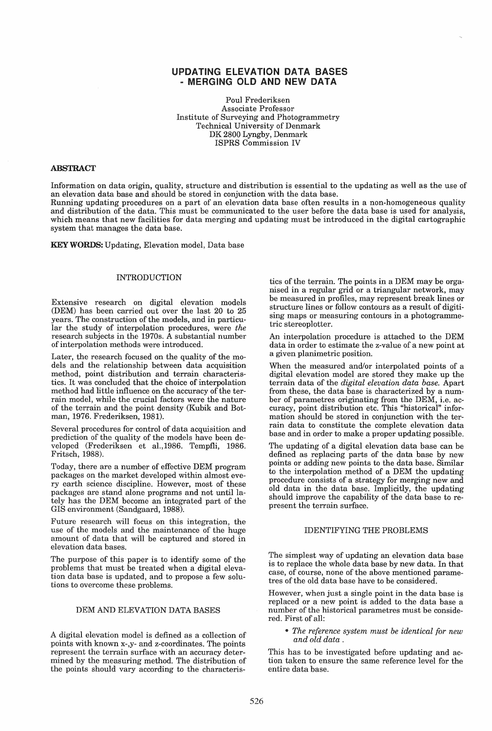# UPDATING ELEVATION DATA BASES - MERGING OLD AND NEW DATA

Poul Frederiksen Associate Professor Institute of Surveying and Photogrammetry Technical University of Denmark DK 2800 Lyngby, Denmark ISPRS Commission IV

### ABSTRACT

Information on data origin, quality, structure and distribution is essential to the updating as well as the use of an elevation data base and should be stored in conjunction with the data base. Running updating procedures on a part of an elevation data base often results in a non-homogeneous quality and distribution of the data. This must be communicated to the user before the data base is used for analysis, which means that new facilities for data merging and updating must be introduced in the digital cartographic system that manages the data base.

KEYWORDS: Updating, Elevation model, Data base

# **INTRODUCTION**

Extensive research on digital elevation models (DEM) has been carried out over the last 20 to 25 years. The construction of the models, and in particular the study of interpolation procedures, were *the*  research subjects in the 1970s. A substantial number of interpolation methods were introduced.

Later, the research focused on the quality of the models and the relationship between data acquisition method, point distribution and terrain characteristics. It was concluded that the choice of interpolation method had little influence on the accuracy of the terrain model, while the crucial factors were the nature of the terrain and the point density (Kubik and Botman, 1976. Frederiksen, 1981).

Several procedures for control of data acquisition and prediction of the quality of the models have been developed (Frederiksen et aL,1986. Tempfli, 1986. Fritsch, 1988).

Today, there are a number of effective DEM program packages on the market developed within almost every earth science discipline. However, most of these packages are stand alone programs and not until lately has the DEM become an integrated part of the GIS environment (Sandgaard, 1988).

Future research will focus on this integration, the use of the models and the maintenance of the huge amount of data that will be captured and stored in elevation data bases.

The purpose of this paper is to identify some of the problems that must be treated when a digital elevation data base is updated, and to propose a few solutions to overcome these problems.

#### DEM AND ELEVATION DATA BASES

A digital elevation model is defined as a collection of points with known x-,y- and z-coordinates. The points represent the terrain surface with an accuracy determined by the measuring method. The distribution of the points should vary according to the characteris-

tics of the terrain. The points in a DEM may be organised in a regular grid or a triangular network, may be measured in profiles, may represent break lines or structure lines or follow contours as a result of digitising maps or measuring contours in a photogrammetric stereoplotter.

An interpolation procedure is attached to the DEM data in order to estimate the z-value of a new point at a given planimetric position.

When the measured and/or interpolated points of a digital elevation model are stored they make up the terrain data of the *digital elevation data base.* Apart from these, the data base is characterized by a number of parametres originating from the DEM, i.e. accuracy, point distribution etc. This "historical" information should be stored in conjunction with the terrain data to constitute the complete elevation data base and in order to make a proper updating possible.

The updating of a digital elevation data base can be defined as replacing parts of the data base by new points or adding new points to the data base. Similar to the interpolation method of a DEM the updating procedure consists of a strategy for merging new and old data in the data base. Implicitly, the updating should improve the capability of the data base to represent the terrain surface.

## IDENTIFYING THE PROBLEMS

The simplest way of updating an elevation data base is to replace the whole data base by new data. In that case, of course, none of the above mentioned parametres of the old data base have to be considered.

However, when just a single point in the data base is replaced or a new point is added to the data base a number of the historical parametres must be considered. First of all:

*• The reference system must be identical for new and old data .* 

This has to be investigated before updating and action taken to ensure the same reference level for the entire data base.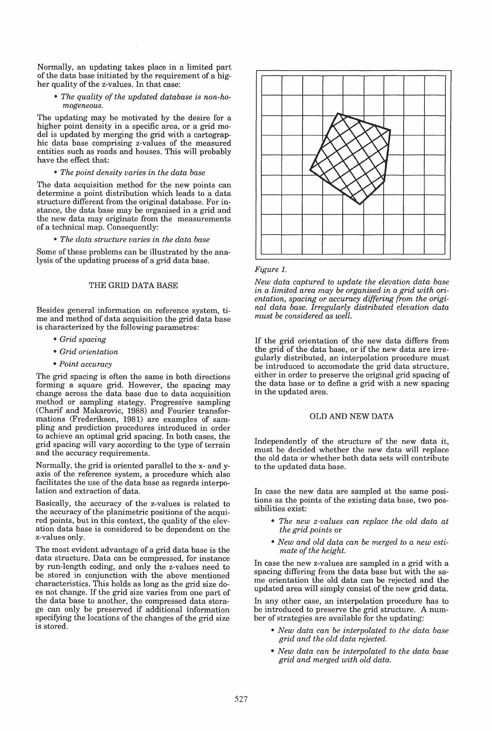Normally, an updating takes place in a limited part of the data base initiated by the requirement of a higher quality of the z-values. In that case:

• The quality of the updated database is non-ho*mogeneous.* 

The updating may be motivated by the desire for a higher point density in a specific area, or a grid model is updated by merging the grid with a cartographic data base comprising z-values of the measured entities such as roads and houses. This will probably have the effect that:

#### <sup>411</sup>*The point density varies in the data base*

The data acquisition method for the new points can determine a point distribution which leads to a data structure different from the original database. For instance, the data base may be organised in a grid and the new data may originate from the measurements of a technical map. Consequently:

<sup>411</sup>*The data structure varies in the data base* 

Some of these problems can be illustrated by the analysis of the updating process of a grid data base.

## THE GRID DATA BASE

Besides general information on reference system, time and method of data acquisition the grid data base is characterized by the following parametres:

- III *Grid spacing*
- III *Grid orientation*
- " *Point accuracy*

The grid spacing is often the same in both directions forming a square grid. However, the spacing may change across the data base due to data acquisition method or sampling stategy. Progressive sampling (Charif and Makarovic, 1988) and Fourier transformations (Frederiksen, 1981) are examples of sampling and prediction procedures introduced in order to achieve an optimal grid spacing. In both cases, the grid spacing will vary according to the type of terrain and the accuracy requirements.

Normally, the grid is oriented parallel to the x- and yaxis of the reference system, a procedure which also facilitates the use of the data base as regards interpolation and extraction of data.

Basically, the accuracy of the z-values is related to the accuracy of the planimetric positions of the acquired points, but in this context, the quality of the elevation data base is considered to be dependent on the z-values only.

The most evident advantage of a grid data base is the data structure. Data can be compressed, for instance by run-length coding, and only the z-values need to be stored in conjunction with the above mentioned characteristics. This holds as long as the grid size does not change. If the grid size varies from one part of the data base to another, the compressed data storage can only be preserved if additional information specifying the locations of the changes of the grid size is stored.



## *Figure 1.*

*New data captured to update the elevation data base in a limited area may be organised in a grid with orientation, spacing or accuracy differing from the original data base. Irregularly distributed elevation data must be considered as well.* 

If the grid orientation of the new data differs from the grid of the data base, or if the new data are irregularly distributed, an interpolation procedure must be introduced to accomodate the grid data structure, either in order to preserve the original grid spacing of the data base or to define a grid with a new spacing in the updated area.

#### OLD AND NEW DATA

Independently of the structure of the new data it, must be decided whether the new data will replace the old data or whether both data sets will contribute to the updated data base.

In case the new data are sampled at the same positions as the points of the existing data base, two possibilities exist:

- <sup>411</sup>*The new z-values can replace the old data at the grid points* or
- " *New and old data can be merged to a new estimate of the height.*

In case the new z-values are sampled in a grid with a spacing differing from the data base but with the same orientation the old data can be rejected and the updated area will simply consist of the new grid data.

In any other case, an interpolation procedure has to be introduced to preserve the grid structure. A number of strategies are available for the updating:

- New data can be interpolated to the data base *grid and the old data rejected.*
- <sup>411</sup>*New data can be interpolated to the data base grid and merged with old data.*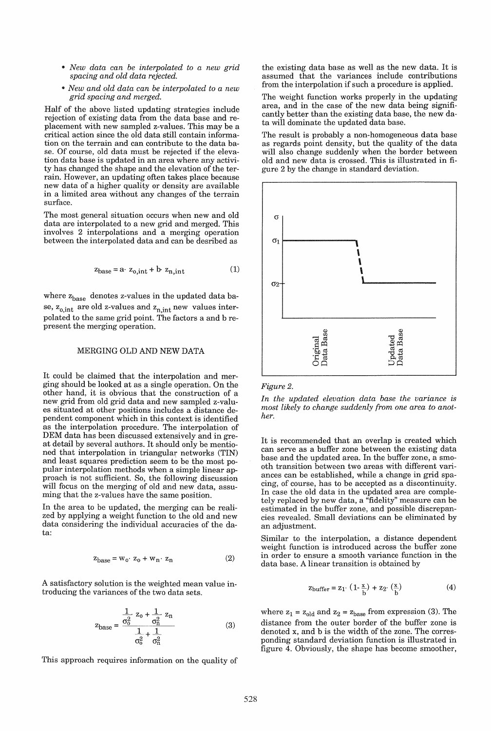- .. *New data can be interpolated to a new grid spacing and old data rejected.*
- .. *New and old data can be interpolated to a new grid spacing and merged.*

Half of the above listed updating strategies include rejection of existing data from the data base and replacement with new sampled z-values. This may be a critical action since the old data still contain information on the terrain and can contribute to the data base. Of course, old data must be rejected if the elevation data base is updated in an area where any activity has changed the shape and the elevation of the terrain. However, an updating often takes place because new data of a higher quality or density are available in a limited area without any changes of the terrain surface.

The most general situation occurs when new and old data are interpolated to a new grid and merged. This involves 2 interpolations and a merging operation between the interpolated data and can be desribed as

$$
z_{base} = a \cdot z_{0,int} + b \cdot z_{n,int} \tag{1}
$$

where  $\rm z_{base}$  denotes z-values in the updated data base,  $z_{0, int}$  are old z-values and  $z_{n, int}$  new values interpolated to the same grid point. The factors a and b represent the merging operation.

# MERGING OLD AND NEW DATA

It could be claimed that the interpolation and merging should be looked at as a single operation. On the other hand, it is obvious that the construction of a new grid from old grid data and new sampled z-values situated at other positions includes a distance dependent component which in this context is identified as the interpolation procedure. The interpolation of DEM data has been discussed extensively and in great detail by several authors. It should only be mentioned that interpolation in triangular networks (TIN) and least squares prediction seem to be the most popular interpolation methods when a simple linear approach is not sufficient. So, the following discussion will focus on the merging of old and new data, assuming that the z-values have the same position.

In the area to be updated, the merging can be realized by applying a weight function to the old and new data considering the individual accuracies of the data:

$$
z_{base} = w_0 \cdot z_0 + w_n \cdot z_n \tag{2}
$$

A satisfactory solution is the weighted mean value introducing the variances of the two data sets.

$$
z_{\text{base}} = \frac{\frac{1}{\sigma_0^2} z_0 + \frac{1}{\sigma_0^2} z_n}{\frac{1}{\sigma_0^2} + \frac{1}{\sigma_0^2}}
$$
(3)

This approach requires information on the quality of

the existing data base as well as the new data. It is assumed that the variances include contributions from the interpolation if such a procedure is applied.

The weight function works properly in the updating area, and in the case of the new data being significantly better than the existing data base, the new data will dominate the updated data base.

The result is probably a non-homogeneous data base as regards point density, but the quality of the data will also change suddenly when the border between old and new data is crossed. This is illustrated in figure 2 by the change in standard deviation.





*In the updated elevation data base the variance is most likely to change suddenly from one area to another.* 

It is recommended that an overlap is created which can serve as a buffer zone between the existing data base and the updated area. In the buffer zone, a smooth transition between two areas with different variances can be established, while a change in grid spacing, of course, has to be accepted as a discontinuity. In case the old data in the updated area are completely replaced by new data, a "fidelity" measure can be estimated in the buffer zone, and possible discrepancies revealed. Small deviations can be eliminated by an adjustment.

Similar to the interpolation, a distance dependent weight function is introduced across the buffer zone in order to ensure a smooth variance function in the data base. A linear transition is obtained by

$$
z_{buffer} = z_1 \cdot (1 - \frac{x}{b}) + z_2 \cdot (\frac{x}{b}) \tag{4}
$$

where  $z_1 = z_{old}$  and  $z_2 = z_{base}$  from expression (3). The distance from the outer border of the buffer zone is denoted x, and b is the width of the zone. The corresponding standard deviation function is illustrated in figure 4. Obviously, the shape has become smoother,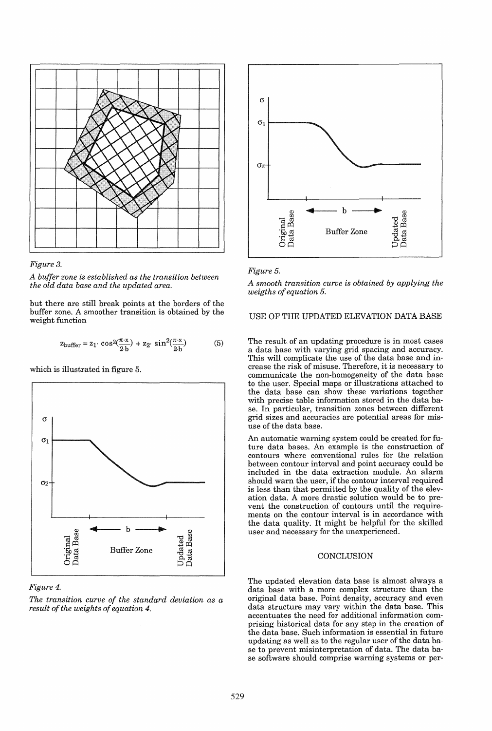



*A buffer zone is established as the transition between the old data base and the updated area.* 

but there are still break points at the borders of the buffer zone. A smoother transition is obtained by the weight function

$$
z_{\text{buffer}} = z_1 \cdot \cos^2(\frac{\pi \cdot x}{2 \cdot b}) + z_2 \cdot \sin^2(\frac{\pi \cdot x}{2 \cdot b}) \tag{5}
$$

which is illustrated in figure 5.



# *Figure 4.*

*The transition curve of the standard deviation as a result of the weights of equation 4.* 





*A smooth transition curve is obtained by applying the weigths of equation 5.* 

## USE OF THE UPDATED ELEVATION DATA BASE

The result of an updating procedure is in most cases a data base with varying grid spacing and accuracy. This will complicate the use of the data base and increase the risk of misuse. Therefore, it is necessary to communicate the non-homogeneity of the data base to the user. Special maps or illustrations attached to the data base can show these variations together with precise table information stored in the data base. In particular, transition zones between different grid sizes and accuracies are potential areas for misuse of the data base.

An automatic warning system could be created for future data bases. An example is the construction of contours where conventional rules for the relation between contour interval and point accuracy could be included in the data extraction module. An alarm should warn the user, if the contour interval required is less than that permitted by the quality of the elevation data. A more drastic solution would be to prevent the construction of contours until the requirements on the contour interval is in accordance with the data quality. It might be helpful for the skilled user and necessary for the unexperienced.

#### **CONCLUSION**

The updated elevation data base is almost always a data base with a more complex structure than the original data base. Point density, accuracy and even data structure may vary within the data base. This accentuates the need for additional information comprising historical data for any step in the creation of the data base. Such information is essential in future updating as well as to the regular user of the data base to prevent misinterpretation of data. The data base software should comprise warning systems or per